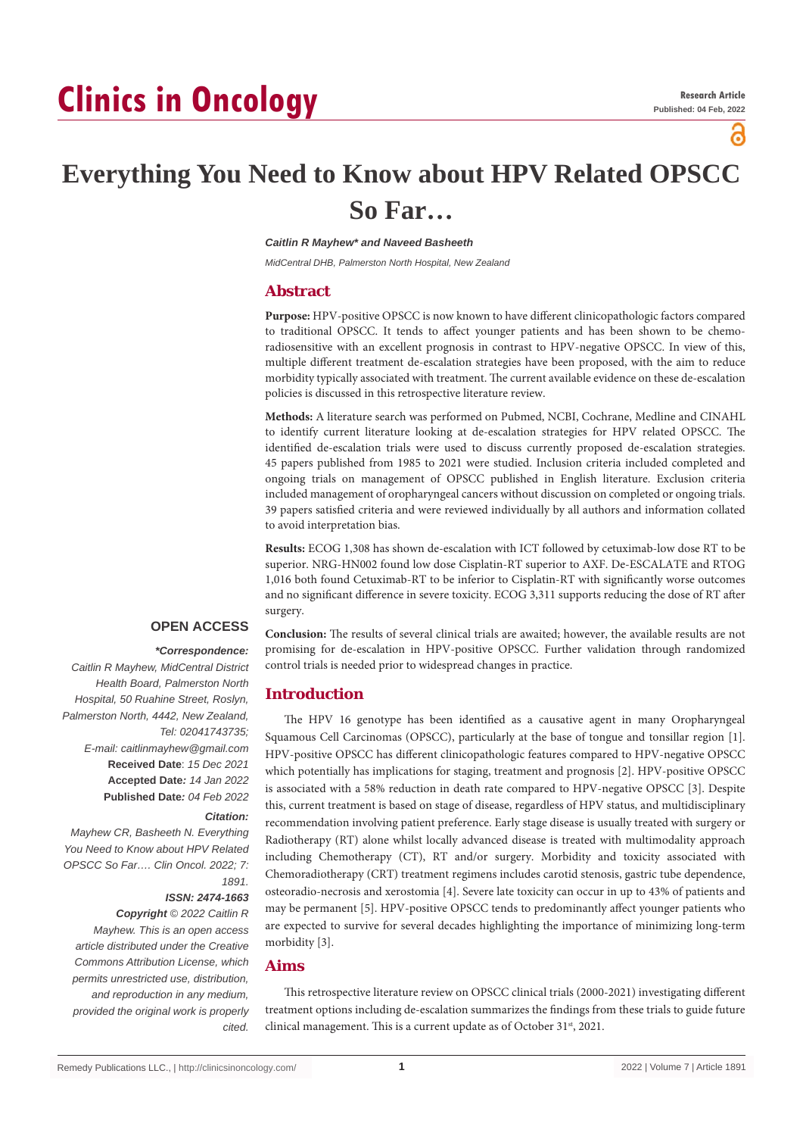# **Clinics in Oncology**

്

# **Everything You Need to Know about HPV Related OPSCC So Far…**

*Caitlin R Mayhew\* and Naveed Basheeth*

*MidCentral DHB, Palmerston North Hospital, New Zealand*

# **Abstract**

**Purpose:** HPV-positive OPSCC is now known to have different clinicopathologic factors compared to traditional OPSCC. It tends to affect younger patients and has been shown to be chemoradiosensitive with an excellent prognosis in contrast to HPV-negative OPSCC. In view of this, multiple different treatment de-escalation strategies have been proposed, with the aim to reduce morbidity typically associated with treatment. The current available evidence on these de-escalation policies is discussed in this retrospective literature review.

**Methods:** A literature search was performed on Pubmed, NCBI, Cochrane, Medline and CINAHL to identify current literature looking at de-escalation strategies for HPV related OPSCC. The identified de-escalation trials were used to discuss currently proposed de-escalation strategies. 45 papers published from 1985 to 2021 were studied. Inclusion criteria included completed and ongoing trials on management of OPSCC published in English literature. Exclusion criteria included management of oropharyngeal cancers without discussion on completed or ongoing trials. 39 papers satisfied criteria and were reviewed individually by all authors and information collated to avoid interpretation bias.

**Results:** ECOG 1,308 has shown de-escalation with ICT followed by cetuximab-low dose RT to be superior. NRG-HN002 found low dose Cisplatin-RT superior to AXF. De-ESCALATE and RTOG 1,016 both found Cetuximab-RT to be inferior to Cisplatin-RT with significantly worse outcomes and no significant difference in severe toxicity. ECOG 3,311 supports reducing the dose of RT after surgery.

# **OPEN ACCESS**

 *\*Correspondence: Caitlin R Mayhew, MidCentral District Health Board, Palmerston North Hospital, 50 Ruahine Street, Roslyn, Palmerston North, 4442, New Zealand, Tel: 02041743735; E-mail: caitlinmayhew@gmail.com* **Received Date**: *15 Dec 2021* **Accepted Date***: 14 Jan 2022* **Published Date***: 04 Feb 2022*

#### *Citation:*

*Mayhew CR, Basheeth N. Everything You Need to Know about HPV Related OPSCC So Far…. Clin Oncol. 2022; 7: 1891.*

# *ISSN: 2474-1663*

*Copyright © 2022 Caitlin R Mayhew. This is an open access article distributed under the Creative Commons Attribution License, which permits unrestricted use, distribution, and reproduction in any medium, provided the original work is properly cited.*

**Conclusion:** The results of several clinical trials are awaited; however, the available results are not promising for de-escalation in HPV-positive OPSCC. Further validation through randomized control trials is needed prior to widespread changes in practice.

# **Introduction**

The HPV 16 genotype has been identified as a causative agent in many Oropharyngeal Squamous Cell Carcinomas (OPSCC), particularly at the base of tongue and tonsillar region [1]. HPV-positive OPSCC has different clinicopathologic features compared to HPV-negative OPSCC which potentially has implications for staging, treatment and prognosis [2]. HPV-positive OPSCC is associated with a 58% reduction in death rate compared to HPV-negative OPSCC [3]. Despite this, current treatment is based on stage of disease, regardless of HPV status, and multidisciplinary recommendation involving patient preference. Early stage disease is usually treated with surgery or Radiotherapy (RT) alone whilst locally advanced disease is treated with multimodality approach including Chemotherapy (CT), RT and/or surgery. Morbidity and toxicity associated with Chemoradiotherapy (CRT) treatment regimens includes carotid stenosis, gastric tube dependence, osteoradio-necrosis and xerostomia [4]. Severe late toxicity can occur in up to 43% of patients and may be permanent [5]. HPV-positive OPSCC tends to predominantly affect younger patients who are expected to survive for several decades highlighting the importance of minimizing long-term morbidity [3].

# **Aims**

This retrospective literature review on OPSCC clinical trials (2000-2021) investigating different treatment options including de-escalation summarizes the findings from these trials to guide future clinical management. This is a current update as of October 31<sup>st</sup>, 2021.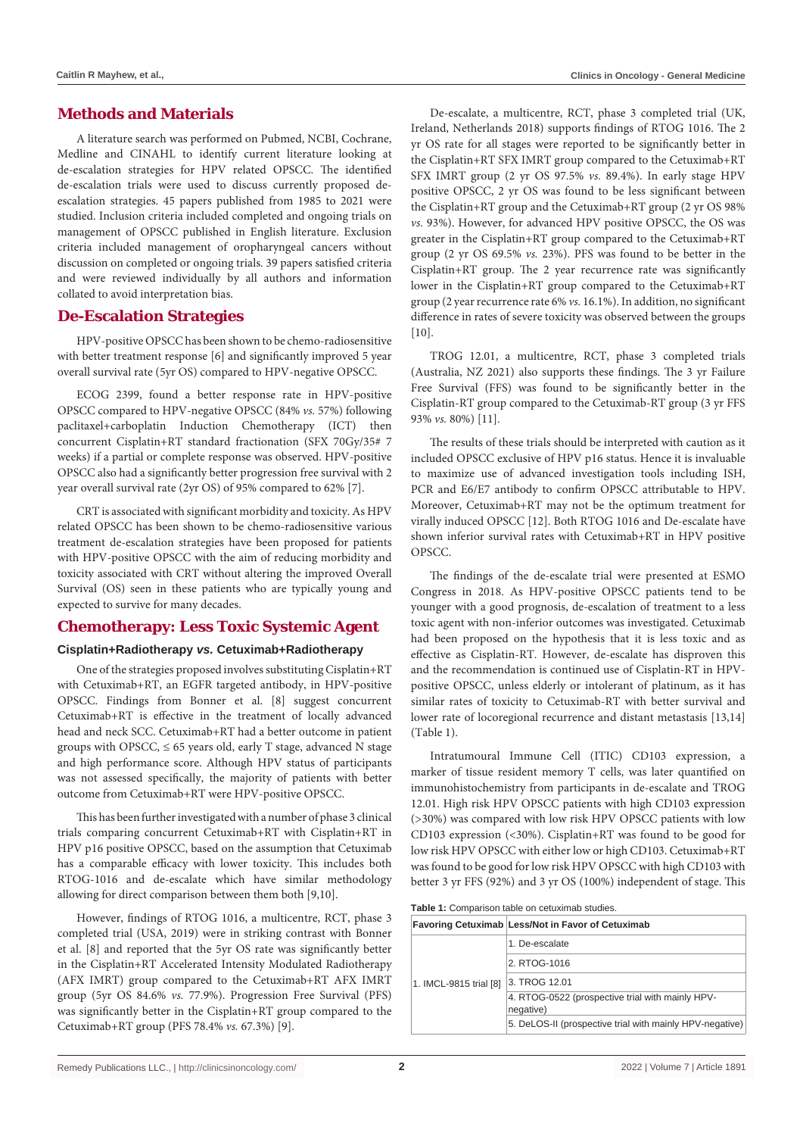# **Methods and Materials**

A literature search was performed on Pubmed, NCBI, Cochrane, Medline and CINAHL to identify current literature looking at de-escalation strategies for HPV related OPSCC. The identified de-escalation trials were used to discuss currently proposed deescalation strategies. 45 papers published from 1985 to 2021 were studied. Inclusion criteria included completed and ongoing trials on management of OPSCC published in English literature. Exclusion criteria included management of oropharyngeal cancers without discussion on completed or ongoing trials. 39 papers satisfied criteria and were reviewed individually by all authors and information collated to avoid interpretation bias.

# **De-Escalation Strategies**

HPV-positive OPSCC has been shown to be chemo-radiosensitive with better treatment response [6] and significantly improved 5 year overall survival rate (5yr OS) compared to HPV-negative OPSCC.

ECOG 2399, found a better response rate in HPV-positive OPSCC compared to HPV-negative OPSCC (84% *vs.* 57%) following paclitaxel+carboplatin Induction Chemotherapy (ICT) then concurrent Cisplatin+RT standard fractionation (SFX 70Gy/35# 7 weeks) if a partial or complete response was observed. HPV-positive OPSCC also had a significantly better progression free survival with 2 year overall survival rate (2yr OS) of 95% compared to 62% [7].

CRT is associated with significant morbidity and toxicity. As HPV related OPSCC has been shown to be chemo-radiosensitive various treatment de-escalation strategies have been proposed for patients with HPV-positive OPSCC with the aim of reducing morbidity and toxicity associated with CRT without altering the improved Overall Survival (OS) seen in these patients who are typically young and expected to survive for many decades.

# **Chemotherapy: Less Toxic Systemic Agent**

#### **Cisplatin+Radiotherapy** *vs.* **Cetuximab+Radiotherapy**

One of the strategies proposed involves substituting Cisplatin+RT with Cetuximab+RT, an EGFR targeted antibody, in HPV-positive OPSCC. Findings from Bonner et al. [8] suggest concurrent Cetuximab+RT is effective in the treatment of locally advanced head and neck SCC. Cetuximab+RT had a better outcome in patient groups with OPSCC,  $\leq 65$  years old, early T stage, advanced N stage and high performance score. Although HPV status of participants was not assessed specifically, the majority of patients with better outcome from Cetuximab+RT were HPV-positive OPSCC.

This has been further investigated with a number of phase 3 clinical trials comparing concurrent Cetuximab+RT with Cisplatin+RT in HPV p16 positive OPSCC, based on the assumption that Cetuximab has a comparable efficacy with lower toxicity. This includes both RTOG-1016 and de-escalate which have similar methodology allowing for direct comparison between them both [9,10].

However, findings of RTOG 1016, a multicentre, RCT, phase 3 completed trial (USA, 2019) were in striking contrast with Bonner et al. [8] and reported that the 5yr OS rate was significantly better in the Cisplatin+RT Accelerated Intensity Modulated Radiotherapy (AFX IMRT) group compared to the Cetuximab+RT AFX IMRT group (5yr OS 84.6% *vs.* 77.9%). Progression Free Survival (PFS) was significantly better in the Cisplatin+RT group compared to the Cetuximab+RT group (PFS 78.4% *vs.* 67.3%) [9].

De-escalate, a multicentre, RCT, phase 3 completed trial (UK, Ireland, Netherlands 2018) supports findings of RTOG 1016. The 2 yr OS rate for all stages were reported to be significantly better in the Cisplatin+RT SFX IMRT group compared to the Cetuximab+RT SFX IMRT group (2 yr OS 97.5% *vs.* 89.4%). In early stage HPV positive OPSCC, 2 yr OS was found to be less significant between the Cisplatin+RT group and the Cetuximab+RT group (2 yr OS 98% *vs.* 93%). However, for advanced HPV positive OPSCC, the OS was greater in the Cisplatin+RT group compared to the Cetuximab+RT group (2 yr OS 69.5% *vs.* 23%). PFS was found to be better in the Cisplatin+RT group. The 2 year recurrence rate was significantly lower in the Cisplatin+RT group compared to the Cetuximab+RT group (2 year recurrence rate 6% *vs.* 16.1%). In addition, no significant difference in rates of severe toxicity was observed between the groups  $[10]$ .

TROG 12.01, a multicentre, RCT, phase 3 completed trials (Australia, NZ 2021) also supports these findings. The 3 yr Failure Free Survival (FFS) was found to be significantly better in the Cisplatin-RT group compared to the Cetuximab-RT group (3 yr FFS 93% *vs.* 80%) [11].

The results of these trials should be interpreted with caution as it included OPSCC exclusive of HPV p16 status. Hence it is invaluable to maximize use of advanced investigation tools including ISH, PCR and E6/E7 antibody to confirm OPSCC attributable to HPV. Moreover, Cetuximab+RT may not be the optimum treatment for virally induced OPSCC [12]. Both RTOG 1016 and De-escalate have shown inferior survival rates with Cetuximab+RT in HPV positive OPSCC.

The findings of the de-escalate trial were presented at ESMO Congress in 2018. As HPV-positive OPSCC patients tend to be younger with a good prognosis, de-escalation of treatment to a less toxic agent with non-inferior outcomes was investigated. Cetuximab had been proposed on the hypothesis that it is less toxic and as effective as Cisplatin-RT. However, de-escalate has disproven this and the recommendation is continued use of Cisplatin-RT in HPVpositive OPSCC, unless elderly or intolerant of platinum, as it has similar rates of toxicity to Cetuximab-RT with better survival and lower rate of locoregional recurrence and distant metastasis [13,14] (Table 1).

Intratumoural Immune Cell (ITIC) CD103 expression, a marker of tissue resident memory T cells, was later quantified on immunohistochemistry from participants in de-escalate and TROG 12.01. High risk HPV OPSCC patients with high CD103 expression (>30%) was compared with low risk HPV OPSCC patients with low CD103 expression (<30%). Cisplatin+RT was found to be good for low risk HPV OPSCC with either low or high CD103. Cetuximab+RT was found to be good for low risk HPV OPSCC with high CD103 with better 3 yr FFS (92%) and 3 yr OS (100%) independent of stage. This

**Table 1:** Comparison table on cetuximab studies.

|                        | Favoring Cetuximab Less/Not in Favor of Cetuximab             |  |  |
|------------------------|---------------------------------------------------------------|--|--|
| 1. IMCL-9815 trial [8] | 1. De-escalate                                                |  |  |
|                        | 2. RTOG-1016                                                  |  |  |
|                        | 3. TROG 12.01                                                 |  |  |
|                        | 4. RTOG-0522 (prospective trial with mainly HPV-<br>negative) |  |  |
|                        | 5. DeLOS-II (prospective trial with mainly HPV-negative)      |  |  |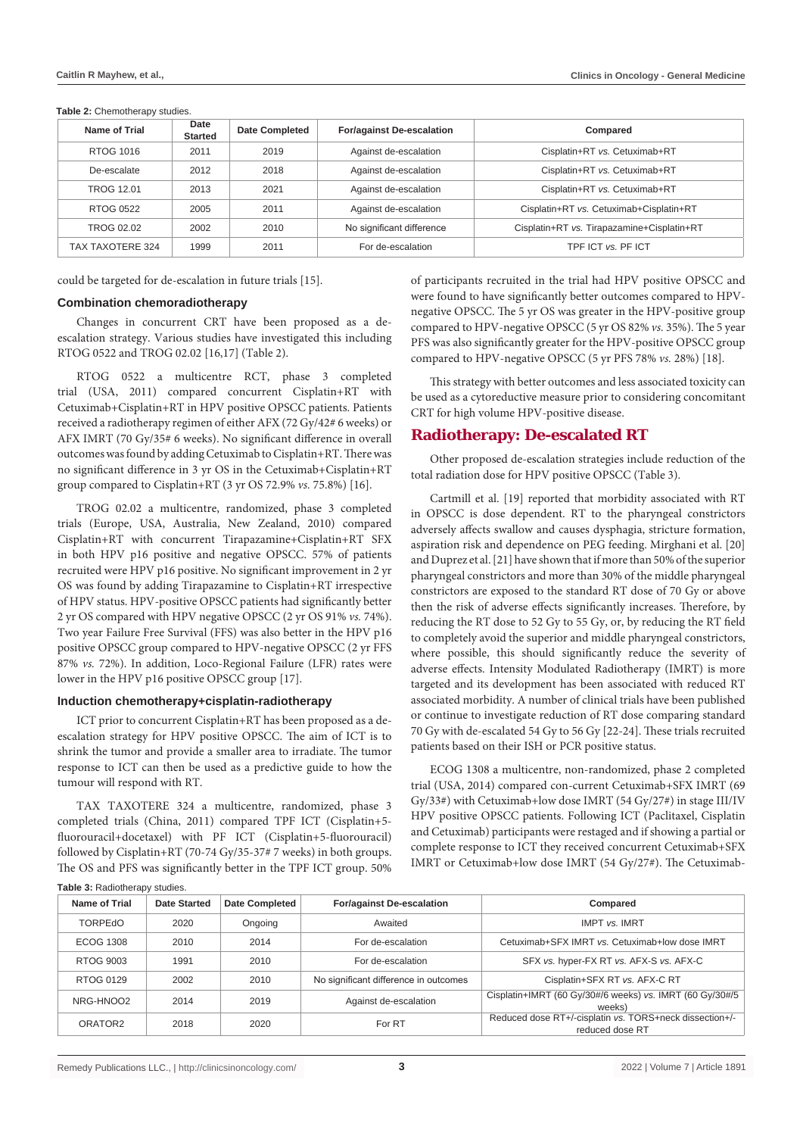| Name of Trial     | Date<br><b>Started</b> | <b>Date Completed</b> | <b>For/against De-escalation</b> | Compared                                   |
|-------------------|------------------------|-----------------------|----------------------------------|--------------------------------------------|
| RTOG 1016         | 2011                   | 2019                  | Against de-escalation            | Cisplatin+RT vs. Cetuximab+RT              |
| De-escalate       | 2012                   | 2018                  | Against de-escalation            | Cisplatin+RT vs. Cetuximab+RT              |
| <b>TROG 12.01</b> | 2013                   | 2021                  | Against de-escalation            | Cisplatin+RT vs. Cetuximab+RT              |
| RTOG 0522         | 2005                   | 2011                  | Against de-escalation            | Cisplatin+RT vs. Cetuximab+Cisplatin+RT    |
| TROG 02.02        | 2002                   | 2010                  | No significant difference        | Cisplatin+RT vs. Tirapazamine+Cisplatin+RT |
| TAX TAXOTERE 324  | 1999                   | 2011                  | For de-escalation                | TPF ICT vs. PF ICT                         |

**Table 2:** Chemotherapy studies.

could be targeted for de-escalation in future trials [15].

#### **Combination chemoradiotherapy**

Changes in concurrent CRT have been proposed as a deescalation strategy. Various studies have investigated this including RTOG 0522 and TROG 02.02 [16,17] (Table 2).

RTOG 0522 a multicentre RCT, phase 3 completed trial (USA, 2011) compared concurrent Cisplatin+RT with Cetuximab+Cisplatin+RT in HPV positive OPSCC patients. Patients received a radiotherapy regimen of either AFX (72 Gy/42# 6 weeks) or AFX IMRT (70 Gy/35# 6 weeks). No significant difference in overall outcomes was found by adding Cetuximab to Cisplatin+RT. There was no significant difference in 3 yr OS in the Cetuximab+Cisplatin+RT group compared to Cisplatin+RT (3 yr OS 72.9% *vs.* 75.8%) [16].

TROG 02.02 a multicentre, randomized, phase 3 completed trials (Europe, USA, Australia, New Zealand, 2010) compared Cisplatin+RT with concurrent Tirapazamine+Cisplatin+RT SFX in both HPV p16 positive and negative OPSCC. 57% of patients recruited were HPV p16 positive. No significant improvement in 2 yr OS was found by adding Tirapazamine to Cisplatin+RT irrespective of HPV status. HPV-positive OPSCC patients had significantly better 2 yr OS compared with HPV negative OPSCC (2 yr OS 91% *vs.* 74%). Two year Failure Free Survival (FFS) was also better in the HPV p16 positive OPSCC group compared to HPV-negative OPSCC (2 yr FFS 87% *vs.* 72%). In addition, Loco-Regional Failure (LFR) rates were lower in the HPV p16 positive OPSCC group [17].

#### **Induction chemotherapy+cisplatin-radiotherapy**

ICT prior to concurrent Cisplatin+RT has been proposed as a deescalation strategy for HPV positive OPSCC. The aim of ICT is to shrink the tumor and provide a smaller area to irradiate. The tumor response to ICT can then be used as a predictive guide to how the tumour will respond with RT.

TAX TAXOTERE 324 a multicentre, randomized, phase 3 completed trials (China, 2011) compared TPF ICT (Cisplatin+5 fluorouracil+docetaxel) with PF ICT (Cisplatin+5-fluorouracil) followed by Cisplatin+RT (70-74 Gy/35-37# 7 weeks) in both groups. The OS and PFS was significantly better in the TPF ICT group. 50% of participants recruited in the trial had HPV positive OPSCC and were found to have significantly better outcomes compared to HPVnegative OPSCC. The 5 yr OS was greater in the HPV-positive group compared to HPV-negative OPSCC (5 yr OS 82% *vs.* 35%). The 5 year PFS was also significantly greater for the HPV-positive OPSCC group compared to HPV-negative OPSCC (5 yr PFS 78% *vs.* 28%) [18].

This strategy with better outcomes and less associated toxicity can be used as a cytoreductive measure prior to considering concomitant CRT for high volume HPV-positive disease.

#### **Radiotherapy: De-escalated RT**

Other proposed de-escalation strategies include reduction of the total radiation dose for HPV positive OPSCC (Table 3).

Cartmill et al. [19] reported that morbidity associated with RT in OPSCC is dose dependent. RT to the pharyngeal constrictors adversely affects swallow and causes dysphagia, stricture formation, aspiration risk and dependence on PEG feeding. Mirghani et al. [20] and Duprez et al. [21] have shown that if more than 50% of the superior pharyngeal constrictors and more than 30% of the middle pharyngeal constrictors are exposed to the standard RT dose of 70 Gy or above then the risk of adverse effects significantly increases. Therefore, by reducing the RT dose to 52 Gy to 55 Gy, or, by reducing the RT field to completely avoid the superior and middle pharyngeal constrictors, where possible, this should significantly reduce the severity of adverse effects. Intensity Modulated Radiotherapy (IMRT) is more targeted and its development has been associated with reduced RT associated morbidity. A number of clinical trials have been published or continue to investigate reduction of RT dose comparing standard 70 Gy with de-escalated 54 Gy to 56 Gy [22-24]. These trials recruited patients based on their ISH or PCR positive status.

ECOG 1308 a multicentre, non-randomized, phase 2 completed trial (USA, 2014) compared con-current Cetuximab+SFX IMRT (69 Gy/33#) with Cetuximab+low dose IMRT (54 Gy/27#) in stage III/IV HPV positive OPSCC patients. Following ICT (Paclitaxel, Cisplatin and Cetuximab) participants were restaged and if showing a partial or complete response to ICT they received concurrent Cetuximab+SFX IMRT or Cetuximab+low dose IMRT (54 Gy/27#). The Cetuximab-

| <b>Name of Trial</b> | <b>Date Started</b> | <b>Date Completed</b> | <b>For/against De-escalation</b>      | Compared                                                                   |
|----------------------|---------------------|-----------------------|---------------------------------------|----------------------------------------------------------------------------|
| <b>TORPEdO</b>       | 2020                | Ongoing               | Awaited                               | <b>IMPT vs. IMRT</b>                                                       |
| <b>ECOG 1308</b>     | 2010                | 2014                  | For de-escalation                     | Cetuximab+SFX IMRT vs. Cetuximab+low dose IMRT                             |
| <b>RTOG 9003</b>     | 1991                | 2010                  | For de-escalation                     | SFX vs. hyper-FX RT vs. AFX-S vs. AFX-C                                    |
| RTOG 0129            | 2002                | 2010                  | No significant difference in outcomes | Cisplatin+SFX RT vs. AFX-C RT                                              |
| NRG-HNOO2            | 2014                | 2019                  | Against de-escalation                 | Cisplatin+IMRT (60 Gy/30#/6 weeks) vs. IMRT (60 Gy/30#/5<br>weeks)         |
| ORATOR <sub>2</sub>  | 2018                | 2020                  | For RT                                | Reduced dose RT+/-cisplatin vs. TORS+neck dissection+/-<br>reduced dose RT |

**Table 3:** Radiotherapy studies.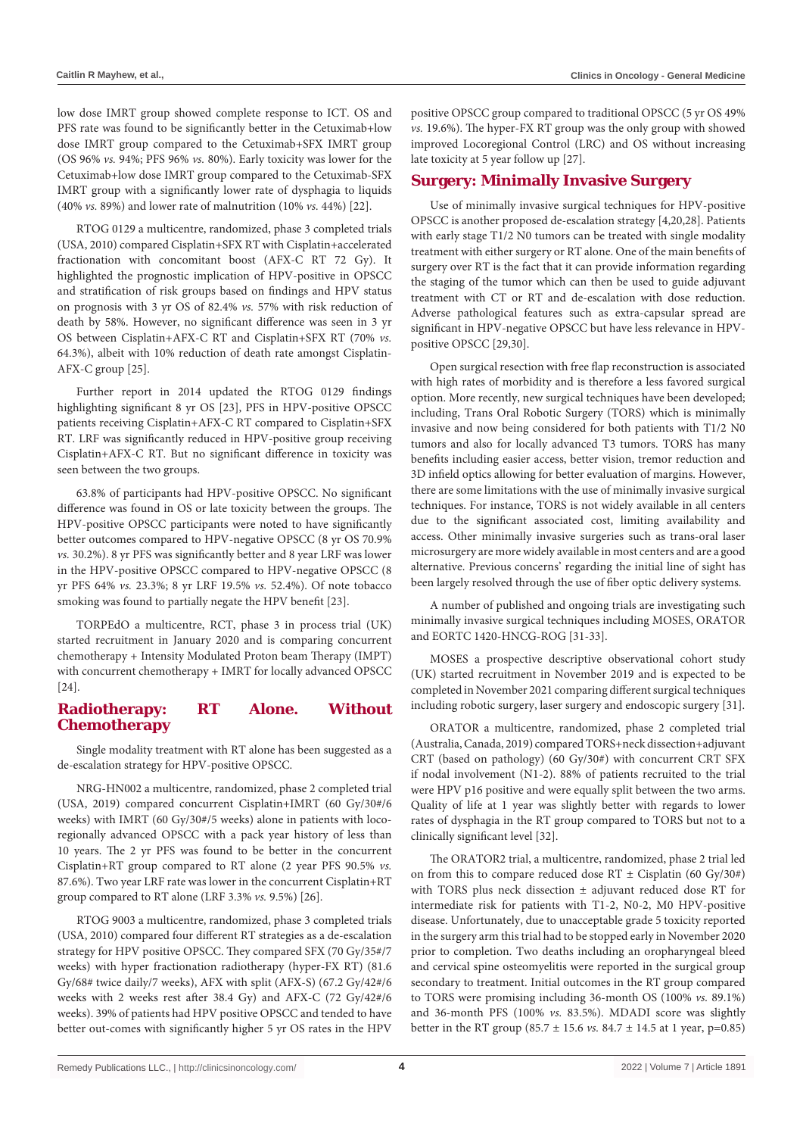low dose IMRT group showed complete response to ICT. OS and PFS rate was found to be significantly better in the Cetuximab+low dose IMRT group compared to the Cetuximab+SFX IMRT group (OS 96% *vs.* 94%; PFS 96% *vs.* 80%). Early toxicity was lower for the Cetuximab+low dose IMRT group compared to the Cetuximab-SFX IMRT group with a significantly lower rate of dysphagia to liquids (40% *vs.* 89%) and lower rate of malnutrition (10% *vs.* 44%) [22].

RTOG 0129 a multicentre, randomized, phase 3 completed trials (USA, 2010) compared Cisplatin+SFX RT with Cisplatin+accelerated fractionation with concomitant boost (AFX-C RT 72 Gy). It highlighted the prognostic implication of HPV-positive in OPSCC and stratification of risk groups based on findings and HPV status on prognosis with 3 yr OS of 82.4% *vs.* 57% with risk reduction of death by 58%. However, no significant difference was seen in 3 yr OS between Cisplatin+AFX-C RT and Cisplatin+SFX RT (70% *vs.* 64.3%), albeit with 10% reduction of death rate amongst Cisplatin-AFX-C group [25].

Further report in 2014 updated the RTOG 0129 findings highlighting significant 8 yr OS [23], PFS in HPV-positive OPSCC patients receiving Cisplatin+AFX-C RT compared to Cisplatin+SFX RT. LRF was significantly reduced in HPV-positive group receiving Cisplatin+AFX-C RT. But no significant difference in toxicity was seen between the two groups.

63.8% of participants had HPV-positive OPSCC. No significant difference was found in OS or late toxicity between the groups. The HPV-positive OPSCC participants were noted to have significantly better outcomes compared to HPV-negative OPSCC (8 yr OS 70.9% *vs.* 30.2%). 8 yr PFS was significantly better and 8 year LRF was lower in the HPV-positive OPSCC compared to HPV-negative OPSCC (8 yr PFS 64% *vs.* 23.3%; 8 yr LRF 19.5% *vs.* 52.4%). Of note tobacco smoking was found to partially negate the HPV benefit [23].

TORPEdO a multicentre, RCT, phase 3 in process trial (UK) started recruitment in January 2020 and is comparing concurrent chemotherapy + Intensity Modulated Proton beam Therapy (IMPT) with concurrent chemotherapy + IMRT for locally advanced OPSCC [24].

# **Radiotherapy: RT Alone. Without Chemotherapy**

Single modality treatment with RT alone has been suggested as a de-escalation strategy for HPV-positive OPSCC.

NRG-HN002 a multicentre, randomized, phase 2 completed trial (USA, 2019) compared concurrent Cisplatin+IMRT (60 Gy/30#/6 weeks) with IMRT (60 Gy/30#/5 weeks) alone in patients with locoregionally advanced OPSCC with a pack year history of less than 10 years. The 2 yr PFS was found to be better in the concurrent Cisplatin+RT group compared to RT alone (2 year PFS 90.5% *vs.* 87.6%). Two year LRF rate was lower in the concurrent Cisplatin+RT group compared to RT alone (LRF 3.3% *vs.* 9.5%) [26].

RTOG 9003 a multicentre, randomized, phase 3 completed trials (USA, 2010) compared four different RT strategies as a de-escalation strategy for HPV positive OPSCC. They compared SFX (70 Gy/35#/7 weeks) with hyper fractionation radiotherapy (hyper-FX RT) (81.6 Gy/68# twice daily/7 weeks), AFX with split (AFX-S) (67.2 Gy/42#/6 weeks with 2 weeks rest after 38.4 Gy) and AFX-C (72 Gy/42#/6 weeks). 39% of patients had HPV positive OPSCC and tended to have better out-comes with significantly higher 5 yr OS rates in the HPV

positive OPSCC group compared to traditional OPSCC (5 yr OS 49% *vs.* 19.6%). The hyper-FX RT group was the only group with showed improved Locoregional Control (LRC) and OS without increasing late toxicity at 5 year follow up [27].

# **Surgery: Minimally Invasive Surgery**

Use of minimally invasive surgical techniques for HPV-positive OPSCC is another proposed de-escalation strategy [4,20,28]. Patients with early stage T1/2 N0 tumors can be treated with single modality treatment with either surgery or RT alone. One of the main benefits of surgery over RT is the fact that it can provide information regarding the staging of the tumor which can then be used to guide adjuvant treatment with CT or RT and de-escalation with dose reduction. Adverse pathological features such as extra-capsular spread are significant in HPV-negative OPSCC but have less relevance in HPVpositive OPSCC [29,30].

Open surgical resection with free flap reconstruction is associated with high rates of morbidity and is therefore a less favored surgical option. More recently, new surgical techniques have been developed; including, Trans Oral Robotic Surgery (TORS) which is minimally invasive and now being considered for both patients with T1/2 N0 tumors and also for locally advanced T3 tumors. TORS has many benefits including easier access, better vision, tremor reduction and 3D infield optics allowing for better evaluation of margins. However, there are some limitations with the use of minimally invasive surgical techniques. For instance, TORS is not widely available in all centers due to the significant associated cost, limiting availability and access. Other minimally invasive surgeries such as trans-oral laser microsurgery are more widely available in most centers and are a good alternative. Previous concerns' regarding the initial line of sight has been largely resolved through the use of fiber optic delivery systems.

A number of published and ongoing trials are investigating such minimally invasive surgical techniques including MOSES, ORATOR and EORTC 1420-HNCG-ROG [31-33].

MOSES a prospective descriptive observational cohort study (UK) started recruitment in November 2019 and is expected to be completed in November 2021 comparing different surgical techniques including robotic surgery, laser surgery and endoscopic surgery [31].

ORATOR a multicentre, randomized, phase 2 completed trial (Australia, Canada, 2019) compared TORS+neck dissection+adjuvant CRT (based on pathology) (60 Gy/30#) with concurrent CRT SFX if nodal involvement (N1-2). 88% of patients recruited to the trial were HPV p16 positive and were equally split between the two arms. Quality of life at 1 year was slightly better with regards to lower rates of dysphagia in the RT group compared to TORS but not to a clinically significant level [32].

The ORATOR2 trial, a multicentre, randomized, phase 2 trial led on from this to compare reduced dose RT  $\pm$  Cisplatin (60 Gy/30#) with TORS plus neck dissection ± adjuvant reduced dose RT for intermediate risk for patients with T1-2, N0-2, M0 HPV-positive disease. Unfortunately, due to unacceptable grade 5 toxicity reported in the surgery arm this trial had to be stopped early in November 2020 prior to completion. Two deaths including an oropharyngeal bleed and cervical spine osteomyelitis were reported in the surgical group secondary to treatment. Initial outcomes in the RT group compared to TORS were promising including 36-month OS (100% *vs.* 89.1%) and 36-month PFS (100% *vs.* 83.5%). MDADI score was slightly better in the RT group  $(85.7 \pm 15.6 \text{ vs. } 84.7 \pm 14.5 \text{ at } 1 \text{ year, } p=0.85)$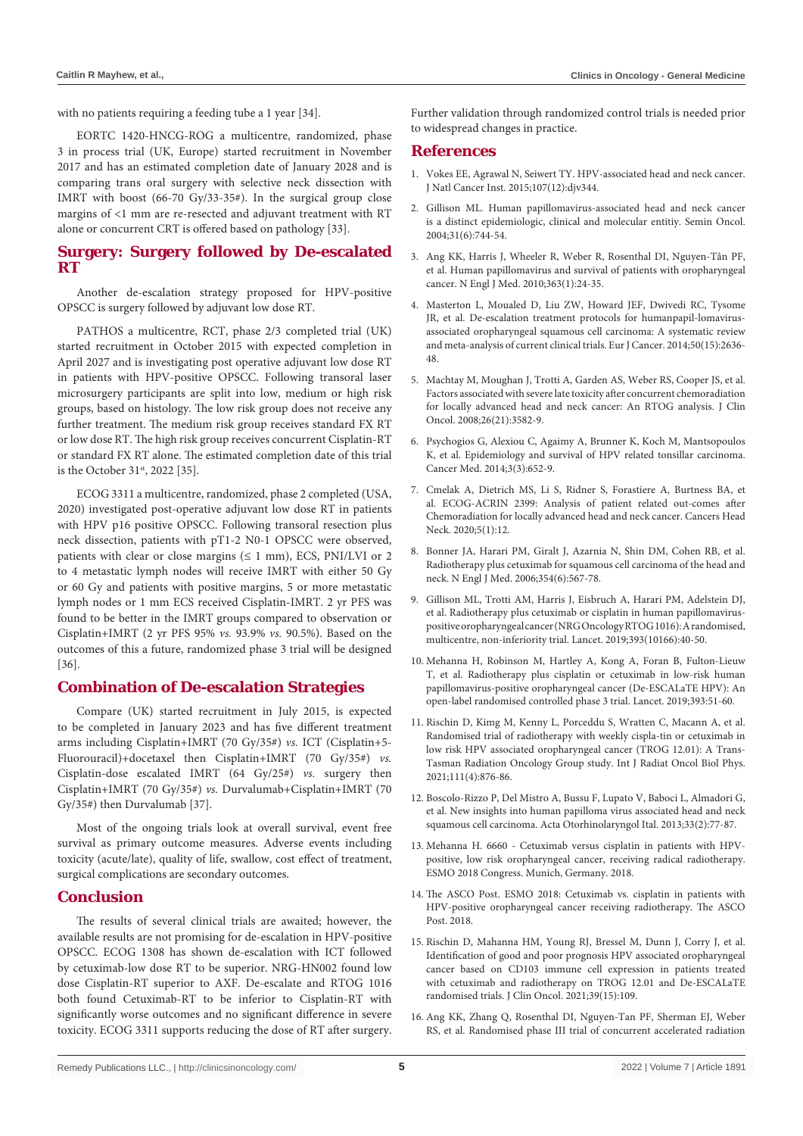with no patients requiring a feeding tube a 1 year [34].

EORTC 1420-HNCG-ROG a multicentre, randomized, phase 3 in process trial (UK, Europe) started recruitment in November 2017 and has an estimated completion date of January 2028 and is comparing trans oral surgery with selective neck dissection with IMRT with boost (66-70 Gy/33-35#). In the surgical group close margins of <1 mm are re-resected and adjuvant treatment with RT alone or concurrent CRT is offered based on pathology [33].

# **Surgery: Surgery followed by De-escalated RT**

Another de-escalation strategy proposed for HPV-positive OPSCC is surgery followed by adjuvant low dose RT.

PATHOS a multicentre, RCT, phase 2/3 completed trial (UK) started recruitment in October 2015 with expected completion in April 2027 and is investigating post operative adjuvant low dose RT in patients with HPV-positive OPSCC. Following transoral laser microsurgery participants are split into low, medium or high risk groups, based on histology. The low risk group does not receive any further treatment. The medium risk group receives standard FX RT or low dose RT. The high risk group receives concurrent Cisplatin-RT or standard FX RT alone. The estimated completion date of this trial is the October 31st, 2022 [35].

ECOG 3311 a multicentre, randomized, phase 2 completed (USA, 2020) investigated post-operative adjuvant low dose RT in patients with HPV p16 positive OPSCC. Following transoral resection plus neck dissection, patients with pT1-2 N0-1 OPSCC were observed, patients with clear or close margins  $(\leq 1 \text{ mm})$ , ECS, PNI/LVI or 2 to 4 metastatic lymph nodes will receive IMRT with either 50 Gy or 60 Gy and patients with positive margins, 5 or more metastatic lymph nodes or 1 mm ECS received Cisplatin-IMRT. 2 yr PFS was found to be better in the IMRT groups compared to observation or Cisplatin+IMRT (2 yr PFS 95% *vs.* 93.9% *vs.* 90.5%). Based on the outcomes of this a future, randomized phase 3 trial will be designed [36].

# **Combination of De-escalation Strategies**

Compare (UK) started recruitment in July 2015, is expected to be completed in January 2023 and has five different treatment arms including Cisplatin+IMRT (70 Gy/35#) *vs.* ICT (Cisplatin+5- Fluorouracil)+docetaxel then Cisplatin+IMRT (70 Gy/35#) *vs.* Cisplatin-dose escalated IMRT (64 Gy/25#) *vs.* surgery then Cisplatin+IMRT (70 Gy/35#) *vs.* Durvalumab+Cisplatin+IMRT (70 Gy/35#) then Durvalumab [37].

Most of the ongoing trials look at overall survival, event free survival as primary outcome measures. Adverse events including toxicity (acute/late), quality of life, swallow, cost effect of treatment, surgical complications are secondary outcomes.

# **Conclusion**

The results of several clinical trials are awaited; however, the available results are not promising for de-escalation in HPV-positive OPSCC. ECOG 1308 has shown de-escalation with ICT followed by cetuximab-low dose RT to be superior. NRG-HN002 found low dose Cisplatin-RT superior to AXF. De-escalate and RTOG 1016 both found Cetuximab-RT to be inferior to Cisplatin-RT with significantly worse outcomes and no significant difference in severe toxicity. ECOG 3311 supports reducing the dose of RT after surgery. Further validation through randomized control trials is needed prior to widespread changes in practice.

#### **References**

- 1. [Vokes EE, Agrawal N, Seiwert TY. HPV-associated head and neck cancer.](https://pubmed.ncbi.nlm.nih.gov/26656751/)  [J Natl Cancer Inst. 2015;107\(12\):djv344.](https://pubmed.ncbi.nlm.nih.gov/26656751/)
- 2. [Gillison ML. Human papillomavirus-associated head and neck cancer](https://pubmed.ncbi.nlm.nih.gov/15599852/)  [is a distinct epidemiologic, clinical and molecular entitiy. Semin Oncol.](https://pubmed.ncbi.nlm.nih.gov/15599852/)  [2004;31\(6\):744-54.](https://pubmed.ncbi.nlm.nih.gov/15599852/)
- 3. [Ang KK, Harris J, Wheeler R, Weber R, Rosenthal DI, Nguyen-Tân PF,](https://pubmed.ncbi.nlm.nih.gov/20530316/)  [et al. Human papillomavirus and survival of patients with oropharyngeal](https://pubmed.ncbi.nlm.nih.gov/20530316/)  [cancer. N Engl J Med. 2010;363\(1\):24-35.](https://pubmed.ncbi.nlm.nih.gov/20530316/)
- 4. [Masterton L, Moualed D, Liu ZW, Howard JEF, Dwivedi RC, Tysome](https://pubmed.ncbi.nlm.nih.gov/25091798/)  [JR, et al. De-escalation treatment protocols for humanpapil-lomavirus](https://pubmed.ncbi.nlm.nih.gov/25091798/)[associated oropharyngeal squamous cell carcinoma: A systematic review](https://pubmed.ncbi.nlm.nih.gov/25091798/)  [and meta-analysis of current clinical trials. Eur J Cancer. 2014;50\(15\):2636-](https://pubmed.ncbi.nlm.nih.gov/25091798/) [48.](https://pubmed.ncbi.nlm.nih.gov/25091798/)
- 5. [Machtay M, Moughan J, Trotti A, Garden AS, Weber RS, Cooper JS, et al.](https://pubmed.ncbi.nlm.nih.gov/18559875/)  [Factors associated with severe late toxicity after concurrent chemoradiation](https://pubmed.ncbi.nlm.nih.gov/18559875/)  [for locally advanced head and neck cancer: An RTOG analysis. J Clin](https://pubmed.ncbi.nlm.nih.gov/18559875/)  [Oncol. 2008;26\(21\):3582-9.](https://pubmed.ncbi.nlm.nih.gov/18559875/)
- 6. [Psychogios G, Alexiou C, Agaimy A, Brunner K, Koch M, Mantsopoulos](https://pubmed.ncbi.nlm.nih.gov/24616325/)  [K, et al. Epidemiology and survival of HPV related tonsillar carcinoma.](https://pubmed.ncbi.nlm.nih.gov/24616325/)  [Cancer Med. 2014;3\(3\):652-9.](https://pubmed.ncbi.nlm.nih.gov/24616325/)
- 7. [Cmelak A, Dietrich MS, Li S, Ridner S, Forastiere A, Burtness BA, et](https://pubmed.ncbi.nlm.nih.gov/33353553/)  [al. ECOG-ACRIN 2399: Analysis of patient related out-comes after](https://pubmed.ncbi.nlm.nih.gov/33353553/)  [Chemoradiation for locally advanced head and neck cancer. Cancers Head](https://pubmed.ncbi.nlm.nih.gov/33353553/)  [Neck. 2020;5\(1\):12.](https://pubmed.ncbi.nlm.nih.gov/33353553/)
- 8. [Bonner JA, Harari PM, Giralt J, Azarnia N, Shin DM, Cohen RB, et al.](https://pubmed.ncbi.nlm.nih.gov/16467544/)  [Radiotherapy plus cetuximab for squamous cell carcinoma of the head and](https://pubmed.ncbi.nlm.nih.gov/16467544/)  [neck. N Engl J Med. 2006;354\(6\):567-78.](https://pubmed.ncbi.nlm.nih.gov/16467544/)
- 9. [Gillison ML, Trotti AM, Harris J, Eisbruch A, Harari PM, Adelstein DJ,](https://pubmed.ncbi.nlm.nih.gov/30449625/)  [et al. Radiotherapy plus cetuximab or cisplatin in human papillomavirus](https://pubmed.ncbi.nlm.nih.gov/30449625/)[positive oropharyngeal cancer \(NRG Oncology RTOG 1016\): A randomised,](https://pubmed.ncbi.nlm.nih.gov/30449625/)  [multicentre, non-inferiority trial. Lancet. 2019;393\(10166\):40-50.](https://pubmed.ncbi.nlm.nih.gov/30449625/)
- 10. [Mehanna H, Robinson M, Hartley A, Kong A, Foran B, Fulton-Lieuw](https://pubmed.ncbi.nlm.nih.gov/30449623/)  [T, et al. Radiotherapy plus cisplatin or cetuximab in low-risk human](https://pubmed.ncbi.nlm.nih.gov/30449623/)  [papillomavirus-positive oropharyngeal cancer \(De-ESCALaTE HPV\): An](https://pubmed.ncbi.nlm.nih.gov/30449623/)  [open-label randomised controlled phase 3 trial. Lancet. 2019;393:51-60.](https://pubmed.ncbi.nlm.nih.gov/30449623/)
- 11. [Rischin D, Kimg M, Kenny L, Porceddu S, Wratten C, Macann A, et al.](https://pubmed.ncbi.nlm.nih.gov/34098030/)  [Randomised trial of radiotherapy with weekly cispla-tin or cetuximab in](https://pubmed.ncbi.nlm.nih.gov/34098030/)  [low risk HPV associated oropharyngeal cancer \(TROG 12.01\): A Trans-](https://pubmed.ncbi.nlm.nih.gov/34098030/)[Tasman Radiation Oncology Group study. Int J Radiat Oncol Biol Phys.](https://pubmed.ncbi.nlm.nih.gov/34098030/)  [2021;111\(4\):876-86.](https://pubmed.ncbi.nlm.nih.gov/34098030/)
- 12. [Boscolo-Rizzo P, Del Mistro A, Bussu F, Lupato V, Baboci L, Almadori G,](https://pubmed.ncbi.nlm.nih.gov/23853396/)  [et al. New insights into human papilloma virus associated head and neck](https://pubmed.ncbi.nlm.nih.gov/23853396/)  [squamous cell carcinoma. Acta Otorhinolaryngol Ital. 2013;33\(2\):77-87.](https://pubmed.ncbi.nlm.nih.gov/23853396/)
- 13. [Mehanna H. 6660 Cetuximab versus cisplatin in patients with HPV](https://oncologypro.esmo.org/meeting-resources/esmo-2018-congress/Cetuximab-versus-cisplatin-in-patients-with-HPV-positive-low-risk-oropharyngeal-cancer-receiving-radical-radiotherapy)[positive, low risk oropharyngeal cancer, receiving radical radiotherapy.](https://oncologypro.esmo.org/meeting-resources/esmo-2018-congress/Cetuximab-versus-cisplatin-in-patients-with-HPV-positive-low-risk-oropharyngeal-cancer-receiving-radical-radiotherapy)  [ESMO 2018 Congress. Munich, Germany. 2018.](https://oncologypro.esmo.org/meeting-resources/esmo-2018-congress/Cetuximab-versus-cisplatin-in-patients-with-HPV-positive-low-risk-oropharyngeal-cancer-receiving-radical-radiotherapy)
- 14. [The ASCO Post. ESMO 2018: Cetuximab vs. cisplatin in patients with](https://ascopost.com/News/59394)  [HPV-positive oropharyngeal cancer receiving radiotherapy. The ASCO](https://ascopost.com/News/59394)  [Post. 2018.](https://ascopost.com/News/59394)
- 15. [Rischin D, Mahanna HM, Young RJ, Bressel M, Dunn J, Corry J, et al.](https://ascopubs.org/doi/abs/10.1200/JCO.2021.39.15_suppl.109)  [Identification of good and poor prognosis HPV associated oropharyngeal](https://ascopubs.org/doi/abs/10.1200/JCO.2021.39.15_suppl.109)  [cancer based on CD103 immune cell expression in patients treated](https://ascopubs.org/doi/abs/10.1200/JCO.2021.39.15_suppl.109)  [with cetuximab and radiotherapy on TROG 12.01 and De-ESCALaTE](https://ascopubs.org/doi/abs/10.1200/JCO.2021.39.15_suppl.109)  [randomised trials. J Clin Oncol. 2021;39\(15\):109.](https://ascopubs.org/doi/abs/10.1200/JCO.2021.39.15_suppl.109)
- 16. [Ang KK, Zhang Q, Rosenthal DI, Nguyen-Tan PF, Sherman EJ, Weber](https://pubmed.ncbi.nlm.nih.gov/25154822/)  [RS, et al. Randomised phase III trial of concurrent accelerated radiation](https://pubmed.ncbi.nlm.nih.gov/25154822/)